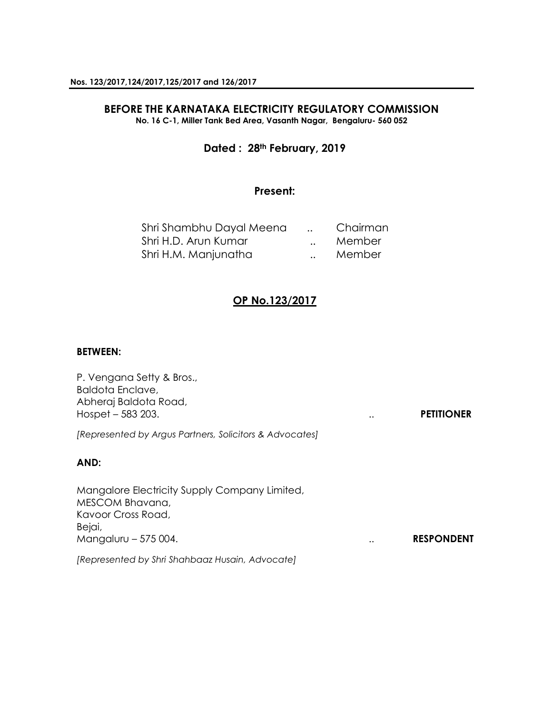# **BEFORE THE KARNATAKA ELECTRICITY REGULATORY COMMISSION**

**No. 16 C-1, Miller Tank Bed Area, Vasanth Nagar, Bengaluru- 560 052**

### **Dated : 28th February, 2019**

### **Present:**

| Shri Shambhu Dayal Meena | Chairman |
|--------------------------|----------|
| Shri H.D. Arun Kumar     | Member   |
| Shri H.M. Manjunatha     | Member   |

### **OP No.123/2017**

#### **BETWEEN:**

| P. Vengana Setty & Bros.,<br>Baldota Enclave,<br>Abheraj Baldota Road,<br>Hospet $-583$ 203.                             | <b>PETITIONER</b> |
|--------------------------------------------------------------------------------------------------------------------------|-------------------|
| [Represented by Argus Partners, Solicitors & Advocates]                                                                  |                   |
| AND:                                                                                                                     |                   |
| Mangalore Electricity Supply Company Limited,<br>MESCOM Bhavana,<br>Kavoor Cross Road,<br>Bejai,<br>Mangaluru - 575 004. | <b>RESPONDENT</b> |
| [Represented by Shri Shahbaaz Husain, Advocate]                                                                          |                   |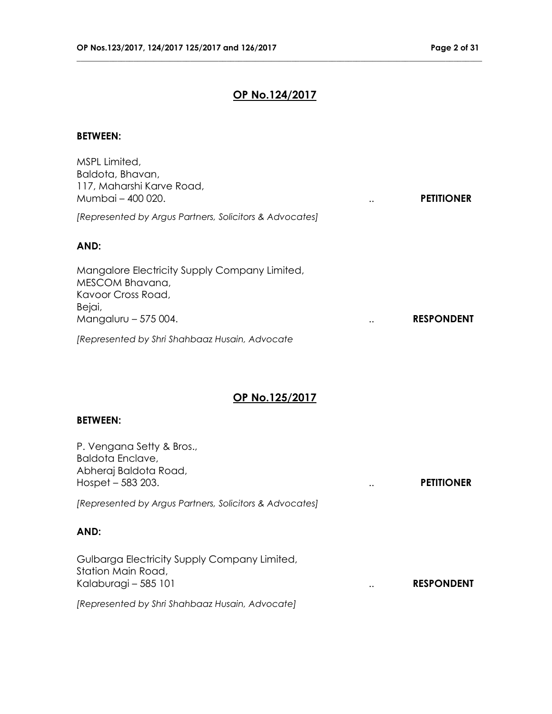## **OP No.124/2017**

**\_\_\_\_\_\_\_\_\_\_\_\_\_\_\_\_\_\_\_\_\_\_\_\_\_\_\_\_\_\_\_\_\_\_\_\_\_\_\_\_\_\_\_\_\_\_\_\_\_\_\_\_\_\_\_\_\_\_\_\_\_\_\_\_\_\_\_\_\_\_\_\_\_\_\_\_\_\_\_\_\_\_\_\_\_\_\_\_\_\_\_\_\_\_\_\_\_\_\_\_**

### **BETWEEN:**

| MSPL Limited,<br>Baldota, Bhavan,<br>117, Maharshi Karve Road,<br>Mumbai - 400 020.<br>$\cdot \cdot$                                      | <b>PETITIONER</b> |
|-------------------------------------------------------------------------------------------------------------------------------------------|-------------------|
| [Represented by Argus Partners, Solicitors & Advocates]                                                                                   |                   |
| AND:                                                                                                                                      |                   |
| Mangalore Electricity Supply Company Limited,<br>MESCOM Bhavana,<br>Kavoor Cross Road,<br>Bejai,<br>Mangaluru - 575 004.<br>$\cdot \cdot$ | <b>RESPONDENT</b> |
| [Represented by Shri Shahbaaz Husain, Advocate                                                                                            |                   |

# **OP No.125/2017**

#### **BETWEEN:**

| P. Vengana Setty & Bros.,<br>Baldota Enclave,<br>Abheraj Baldota Road,<br>Hospet $-583$ 203. | $\ddot{\phantom{a}}$ | <b>PETITIONER</b> |
|----------------------------------------------------------------------------------------------|----------------------|-------------------|
| [Represented by Argus Partners, Solicitors & Advocates]                                      |                      |                   |
| AND:                                                                                         |                      |                   |
| Gulbarga Electricity Supply Company Limited,<br>Station Main Road,<br>Kalaburagi - 585 101   | $\cdot$ .            | <b>RESPONDENT</b> |
| [Represented by Shri Shahbaaz Husain, Advocate]                                              |                      |                   |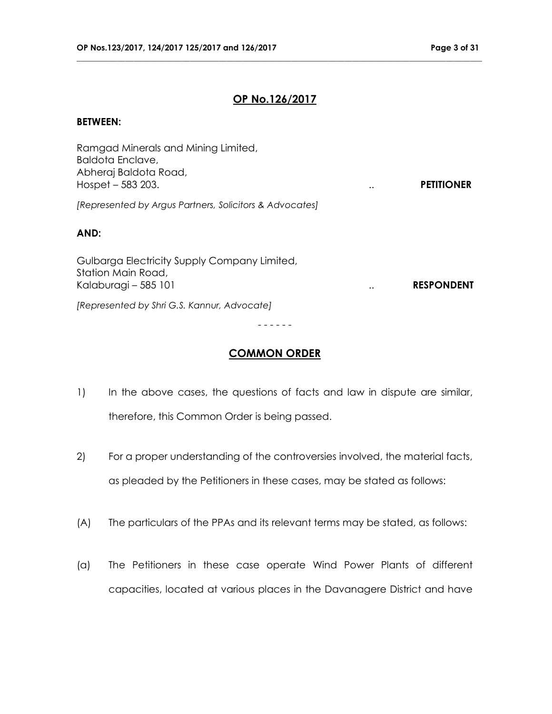### **OP No.126/2017**

**\_\_\_\_\_\_\_\_\_\_\_\_\_\_\_\_\_\_\_\_\_\_\_\_\_\_\_\_\_\_\_\_\_\_\_\_\_\_\_\_\_\_\_\_\_\_\_\_\_\_\_\_\_\_\_\_\_\_\_\_\_\_\_\_\_\_\_\_\_\_\_\_\_\_\_\_\_\_\_\_\_\_\_\_\_\_\_\_\_\_\_\_\_\_\_\_\_\_\_\_**

#### **BETWEEN:**

| Ramgad Minerals and Mining Limited,<br>Baldota Enclave,<br>Abheraj Baldota Road,<br>Hospet $-583$ 203. | $\ddot{\phantom{0}}$ | <b>PETITIONER</b> |
|--------------------------------------------------------------------------------------------------------|----------------------|-------------------|
| [Represented by Argus Partners, Solicitors & Advocates]                                                |                      |                   |
| AND:                                                                                                   |                      |                   |
| Gulbarga Electricity Supply Company Limited,<br>Station Main Road,<br>Kalaburagi - 585 101             |                      | <b>RESPONDENT</b> |
| [Represented by Shri G.S. Kannur, Advocate]                                                            |                      |                   |
|                                                                                                        |                      |                   |

### **COMMON ORDER**

- 1) In the above cases, the questions of facts and law in dispute are similar, therefore, this Common Order is being passed.
- 2) For a proper understanding of the controversies involved, the material facts, as pleaded by the Petitioners in these cases, may be stated as follows:
- (A) The particulars of the PPAs and its relevant terms may be stated, as follows:
- (a) The Petitioners in these case operate Wind Power Plants of different capacities, located at various places in the Davanagere District and have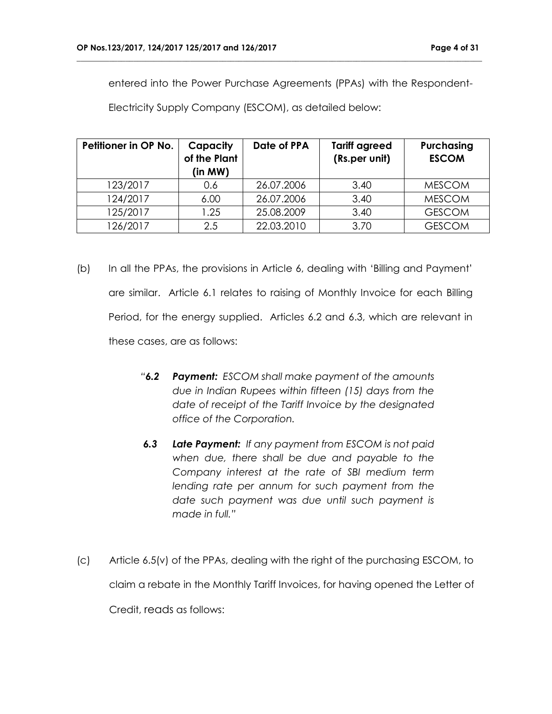entered into the Power Purchase Agreements (PPAs) with the Respondent-

**\_\_\_\_\_\_\_\_\_\_\_\_\_\_\_\_\_\_\_\_\_\_\_\_\_\_\_\_\_\_\_\_\_\_\_\_\_\_\_\_\_\_\_\_\_\_\_\_\_\_\_\_\_\_\_\_\_\_\_\_\_\_\_\_\_\_\_\_\_\_\_\_\_\_\_\_\_\_\_\_\_\_\_\_\_\_\_\_\_\_\_\_\_\_\_\_\_\_\_\_**

Electricity Supply Company (ESCOM), as detailed below:

| Petitioner in OP No. | Capacity<br>of the Plant<br>(in MW) | Date of PPA | <b>Tariff agreed</b><br>(Rs.per unit) | Purchasing<br><b>ESCOM</b> |
|----------------------|-------------------------------------|-------------|---------------------------------------|----------------------------|
| 123/2017             | 0.6                                 | 26.07.2006  | 3.40                                  | <b>MESCOM</b>              |
| 124/2017             | 6.00                                | 26.07.2006  | 3.40                                  | <b>MESCOM</b>              |
| 125/2017             | 1.25                                | 25.08.2009  | 3.40                                  | <b>GESCOM</b>              |
| 126/2017             | 2.5                                 | 22.03.2010  | 3.70                                  | <b>GESCOM</b>              |

- (b) In all the PPAs, the provisions in Article 6, dealing with 'Billing and Payment' are similar. Article 6.1 relates to raising of Monthly Invoice for each Billing Period, for the energy supplied. Articles 6.2 and 6.3, which are relevant in these cases, are as follows:
	- *"6.2 Payment: ESCOM shall make payment of the amounts due in Indian Rupees within fifteen (15) days from the date of receipt of the Tariff Invoice by the designated office of the Corporation.*
	- *6.3 Late Payment: If any payment from ESCOM is not paid when due, there shall be due and payable to the Company interest at the rate of SBI medium term lending rate per annum for such payment from the date such payment was due until such payment is made in full."*
- (c) Article 6.5(v) of the PPAs, dealing with the right of the purchasing ESCOM, to claim a rebate in the Monthly Tariff Invoices, for having opened the Letter of Credit, reads as follows: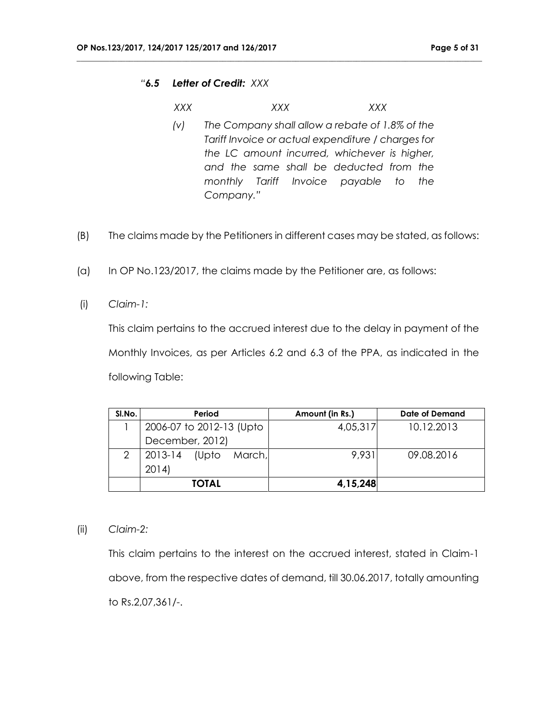#### *"6.5 Letter of Credit: XXX*

*XXX XXX XXX*

**\_\_\_\_\_\_\_\_\_\_\_\_\_\_\_\_\_\_\_\_\_\_\_\_\_\_\_\_\_\_\_\_\_\_\_\_\_\_\_\_\_\_\_\_\_\_\_\_\_\_\_\_\_\_\_\_\_\_\_\_\_\_\_\_\_\_\_\_\_\_\_\_\_\_\_\_\_\_\_\_\_\_\_\_\_\_\_\_\_\_\_\_\_\_\_\_\_\_\_\_**

- *(v) The Company shall allow a rebate of 1.8% of the Tariff Invoice or actual expenditure / charges for the LC amount incurred, whichever is higher, and the same shall be deducted from the monthly Tariff Invoice payable to the Company."*
- (B) The claims made by the Petitioners in different cases may be stated, as follows:
- (a) In OP No.123/2017, the claims made by the Petitioner are, as follows:
- (i) *Claim-1:*

This claim pertains to the accrued interest due to the delay in payment of the Monthly Invoices, as per Articles 6.2 and 6.3 of the PPA, as indicated in the following Table:

| SI.No. | Period                     | Amount (in Rs.) | Date of Demand |
|--------|----------------------------|-----------------|----------------|
|        | 2006-07 to 2012-13 (Upto   | 4,05,317        | 10.12.2013     |
|        | December, 2012)            |                 |                |
|        | 2013-14<br>March,<br>(Upto | 9.931           | 09.08.2016     |
|        | 2014                       |                 |                |
|        | <b>TOTAL</b>               | 4,15,248        |                |

(ii) *Claim-2:*

This claim pertains to the interest on the accrued interest, stated in Claim-1 above, from the respective dates of demand, till 30.06.2017, totally amounting to Rs.2,07,361/-.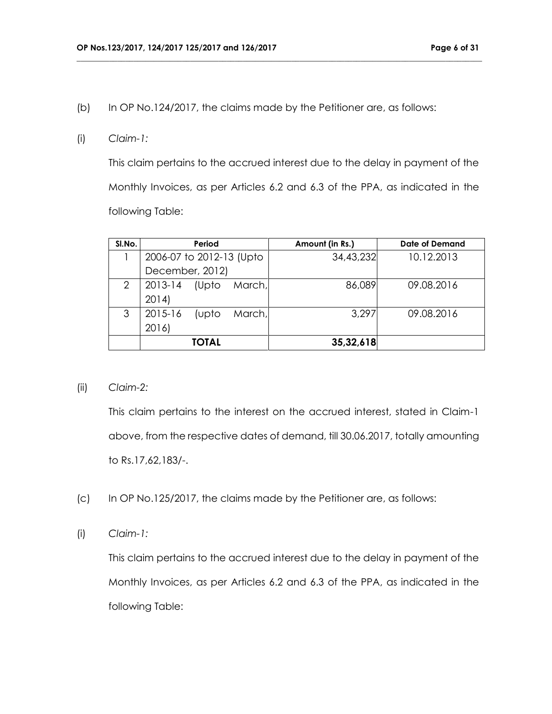(b) In OP No.124/2017, the claims made by the Petitioner are, as follows:

**\_\_\_\_\_\_\_\_\_\_\_\_\_\_\_\_\_\_\_\_\_\_\_\_\_\_\_\_\_\_\_\_\_\_\_\_\_\_\_\_\_\_\_\_\_\_\_\_\_\_\_\_\_\_\_\_\_\_\_\_\_\_\_\_\_\_\_\_\_\_\_\_\_\_\_\_\_\_\_\_\_\_\_\_\_\_\_\_\_\_\_\_\_\_\_\_\_\_\_\_**

#### (i) *Claim-1:*

This claim pertains to the accrued interest due to the delay in payment of the Monthly Invoices, as per Articles 6.2 and 6.3 of the PPA, as indicated in the following Table:

| SI.No. | Period                     | Amount (in Rs.) | Date of Demand |
|--------|----------------------------|-----------------|----------------|
|        | 2006-07 to 2012-13 (Upto   | 34,43,232       | 10.12.2013     |
|        | December, 2012)            |                 |                |
| 2      | 2013-14<br>(Upto<br>March, | 86,089          | 09.08.2016     |
|        | 2014                       |                 |                |
| 3      | 2015-16<br>March,<br>(upto | 3,297           | 09.08.2016     |
|        | 2016)                      |                 |                |
|        | <b>TOTAL</b>               | 35,32,618       |                |

### (ii) *Claim-2:*

This claim pertains to the interest on the accrued interest, stated in Claim-1 above, from the respective dates of demand, till 30.06.2017, totally amounting to Rs.17,62,183/-.

- (c) In OP No.125/2017, the claims made by the Petitioner are, as follows:
- (i) *Claim-1:*

This claim pertains to the accrued interest due to the delay in payment of the Monthly Invoices, as per Articles 6.2 and 6.3 of the PPA, as indicated in the following Table: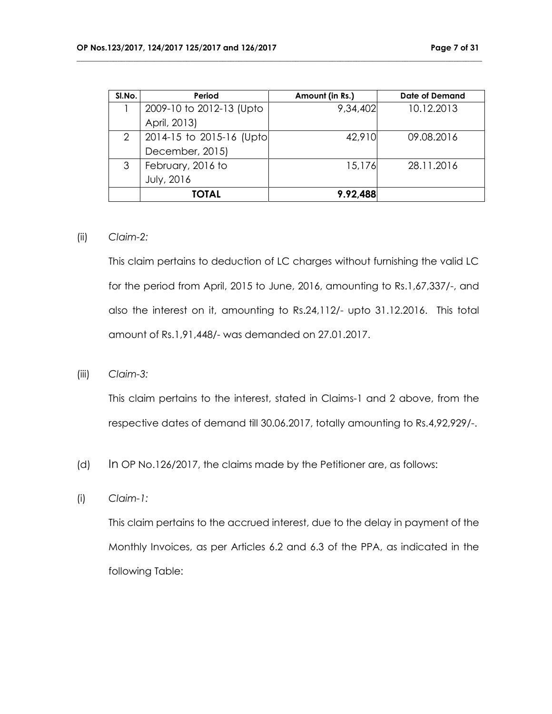| SI.No. | Period                   | Amount (in Rs.) | <b>Date of Demand</b> |
|--------|--------------------------|-----------------|-----------------------|
|        | 2009-10 to 2012-13 (Upto | 9,34,402        | 10.12.2013            |
|        | April, 2013)             |                 |                       |
| 2      | 2014-15 to 2015-16 (Upto | 42,910          | 09.08.2016            |
|        | December, 2015)          |                 |                       |
| 3      | February, 2016 to        | 15,176          | 28.11.2016            |
|        | July, 2016               |                 |                       |
|        | <b>TOTAL</b>             | 9.92,488        |                       |

**\_\_\_\_\_\_\_\_\_\_\_\_\_\_\_\_\_\_\_\_\_\_\_\_\_\_\_\_\_\_\_\_\_\_\_\_\_\_\_\_\_\_\_\_\_\_\_\_\_\_\_\_\_\_\_\_\_\_\_\_\_\_\_\_\_\_\_\_\_\_\_\_\_\_\_\_\_\_\_\_\_\_\_\_\_\_\_\_\_\_\_\_\_\_\_\_\_\_\_\_**

#### (ii) *Claim-2:*

This claim pertains to deduction of LC charges without furnishing the valid LC for the period from April, 2015 to June, 2016, amounting to Rs.1,67,337/-, and also the interest on it, amounting to Rs.24,112/- upto 31.12.2016. This total amount of Rs.1,91,448/- was demanded on 27.01.2017.

(iii) *Claim-3:*

This claim pertains to the interest, stated in Claims-1 and 2 above, from the respective dates of demand till 30.06.2017, totally amounting to Rs.4,92,929/-.

- (d) In OP No.126/2017, the claims made by the Petitioner are, as follows:
- (i) *Claim-1:*

This claim pertains to the accrued interest, due to the delay in payment of the Monthly Invoices, as per Articles 6.2 and 6.3 of the PPA, as indicated in the following Table: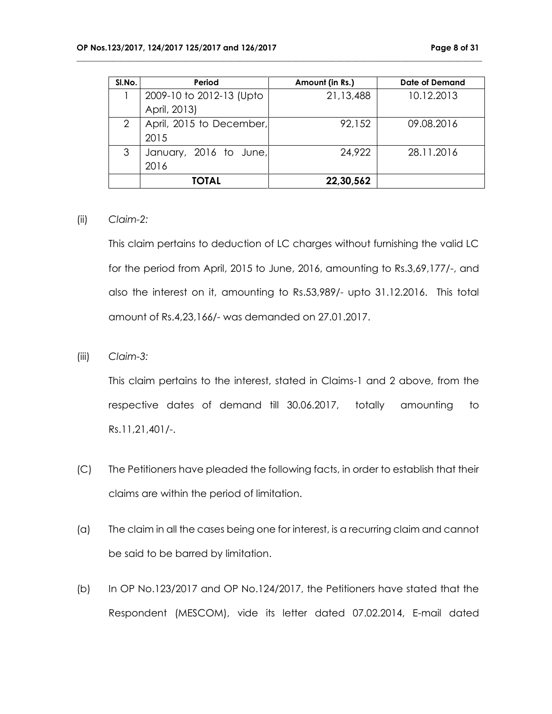| SI.No. | Period                   | Amount (in Rs.) | Date of Demand |
|--------|--------------------------|-----------------|----------------|
|        | 2009-10 to 2012-13 (Upto | 21,13,488       | 10.12.2013     |
|        | April, 2013)             |                 |                |
| 2      | April, 2015 to December, | 92,152          | 09.08.2016     |
|        | 2015                     |                 |                |
| 3      | January, 2016 to June,   | 24,922          | 28.11.2016     |
|        | 2016                     |                 |                |
|        | <b>TOTAL</b>             | 22,30,562       |                |

**\_\_\_\_\_\_\_\_\_\_\_\_\_\_\_\_\_\_\_\_\_\_\_\_\_\_\_\_\_\_\_\_\_\_\_\_\_\_\_\_\_\_\_\_\_\_\_\_\_\_\_\_\_\_\_\_\_\_\_\_\_\_\_\_\_\_\_\_\_\_\_\_\_\_\_\_\_\_\_\_\_\_\_\_\_\_\_\_\_\_\_\_\_\_\_\_\_\_\_\_**

#### (ii) *Claim-2:*

This claim pertains to deduction of LC charges without furnishing the valid LC for the period from April, 2015 to June, 2016, amounting to Rs.3,69,177/-, and also the interest on it, amounting to Rs.53,989/- upto 31.12.2016. This total amount of Rs.4,23,166/- was demanded on 27.01.2017.

(iii) *Claim-3:*

This claim pertains to the interest, stated in Claims-1 and 2 above, from the respective dates of demand till 30.06.2017, totally amounting to Rs.11,21,401/-.

- (C) The Petitioners have pleaded the following facts, in order to establish that their claims are within the period of limitation.
- (a) The claim in all the cases being one for interest, is a recurring claim and cannot be said to be barred by limitation.
- (b) In OP No.123/2017 and OP No.124/2017, the Petitioners have stated that the Respondent (MESCOM), vide its letter dated 07.02.2014, E-mail dated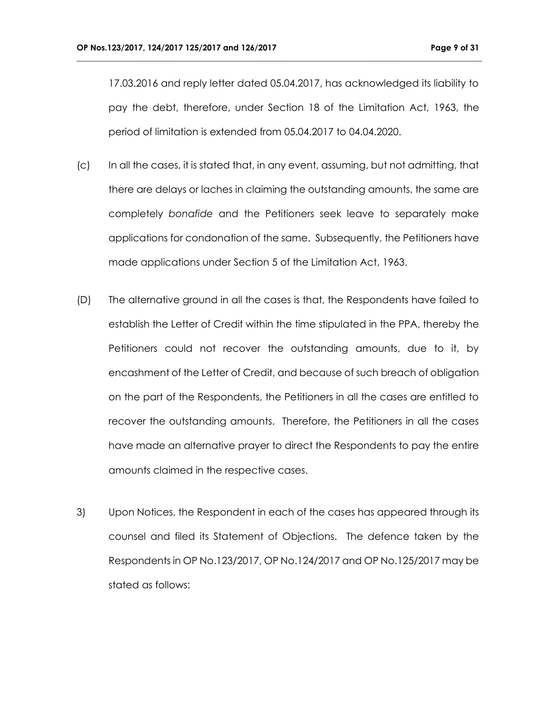17.03.2016 and reply letter dated 05.04.2017, has acknowledged its liability to pay the debt, therefore, under Section 18 of the Limitation Act, 1963, the period of limitation is extended from 05.04.2017 to 04.04.2020.

- (c) In all the cases, it is stated that, in any event, assuming, but not admitting, that there are delays or laches in claiming the outstanding amounts, the same are completely *bonafide* and the Petitioners seek leave to separately make applications for condonation of the same. Subsequently, the Petitioners have made applications under Section 5 of the Limitation Act, 1963.
- (D) The alternative ground in all the cases is that, the Respondents have failed to establish the Letter of Credit within the time stipulated in the PPA, thereby the Petitioners could not recover the outstanding amounts, due to it, by encashment of the Letter of Credit, and because of such breach of obligation on the part of the Respondents, the Petitioners in all the cases are entitled to recover the outstanding amounts. Therefore, the Petitioners in all the cases have made an alternative prayer to direct the Respondents to pay the entire amounts claimed in the respective cases.
- 3) Upon Notices, the Respondent in each of the cases has appeared through its counsel and filed its Statement of Objections. The defence taken by the Respondents in OP No.123/2017, OP No.124/2017 and OP No.125/2017 may be stated as follows: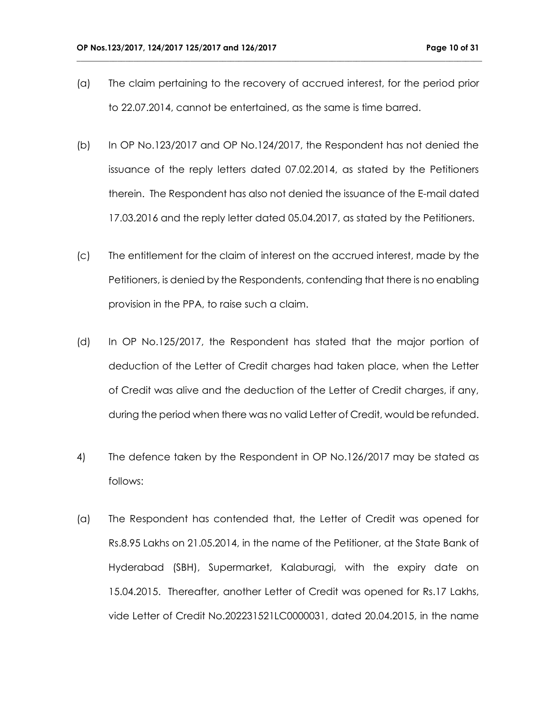(a) The claim pertaining to the recovery of accrued interest, for the period prior to 22.07.2014, cannot be entertained, as the same is time barred.

- (b) In OP No.123/2017 and OP No.124/2017, the Respondent has not denied the issuance of the reply letters dated 07.02.2014, as stated by the Petitioners therein. The Respondent has also not denied the issuance of the E-mail dated 17.03.2016 and the reply letter dated 05.04.2017, as stated by the Petitioners.
- (c) The entitlement for the claim of interest on the accrued interest, made by the Petitioners, is denied by the Respondents, contending that there is no enabling provision in the PPA, to raise such a claim.
- (d) In OP No.125/2017, the Respondent has stated that the major portion of deduction of the Letter of Credit charges had taken place, when the Letter of Credit was alive and the deduction of the Letter of Credit charges, if any, during the period when there was no valid Letter of Credit, would be refunded.
- 4) The defence taken by the Respondent in OP No.126/2017 may be stated as follows:
- (a) The Respondent has contended that, the Letter of Credit was opened for Rs.8.95 Lakhs on 21.05.2014, in the name of the Petitioner, at the State Bank of Hyderabad (SBH), Supermarket, Kalaburagi, with the expiry date on 15.04.2015. Thereafter, another Letter of Credit was opened for Rs.17 Lakhs, vide Letter of Credit No.202231521LC0000031, dated 20.04.2015, in the name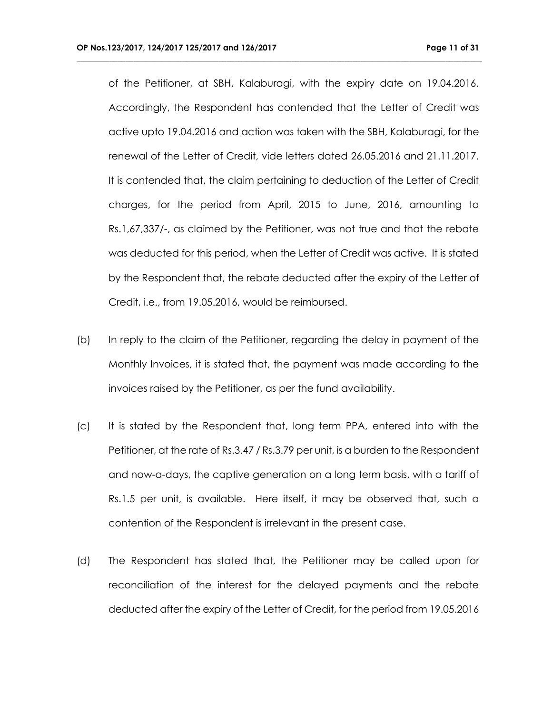of the Petitioner, at SBH, Kalaburagi, with the expiry date on 19.04.2016. Accordingly, the Respondent has contended that the Letter of Credit was active upto 19.04.2016 and action was taken with the SBH, Kalaburagi, for the renewal of the Letter of Credit, vide letters dated 26.05.2016 and 21.11.2017. It is contended that, the claim pertaining to deduction of the Letter of Credit charges, for the period from April, 2015 to June, 2016, amounting to Rs.1,67,337/-, as claimed by the Petitioner, was not true and that the rebate was deducted for this period, when the Letter of Credit was active. It is stated by the Respondent that, the rebate deducted after the expiry of the Letter of Credit, i.e., from 19.05.2016, would be reimbursed.

- (b) In reply to the claim of the Petitioner, regarding the delay in payment of the Monthly Invoices, it is stated that, the payment was made according to the invoices raised by the Petitioner, as per the fund availability.
- (c) It is stated by the Respondent that, long term PPA, entered into with the Petitioner, at the rate of Rs.3.47 / Rs.3.79 per unit, is a burden to the Respondent and now-a-days, the captive generation on a long term basis, with a tariff of Rs.1.5 per unit, is available. Here itself, it may be observed that, such a contention of the Respondent is irrelevant in the present case.
- (d) The Respondent has stated that, the Petitioner may be called upon for reconciliation of the interest for the delayed payments and the rebate deducted after the expiry of the Letter of Credit, for the period from 19.05.2016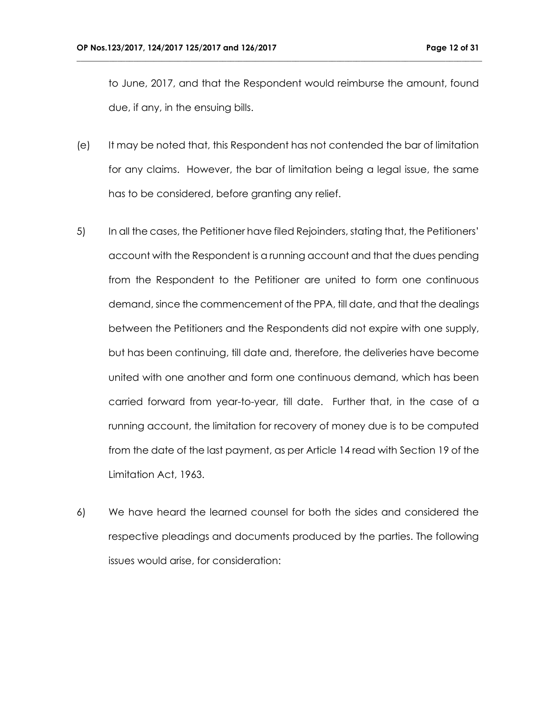to June, 2017, and that the Respondent would reimburse the amount, found due, if any, in the ensuing bills.

- (e) It may be noted that, this Respondent has not contended the bar of limitation for any claims. However, the bar of limitation being a legal issue, the same has to be considered, before granting any relief.
- 5) In all the cases, the Petitioner have filed Rejoinders, stating that, the Petitioners' account with the Respondent is a running account and that the dues pending from the Respondent to the Petitioner are united to form one continuous demand, since the commencement of the PPA, till date, and that the dealings between the Petitioners and the Respondents did not expire with one supply, but has been continuing, till date and, therefore, the deliveries have become united with one another and form one continuous demand, which has been carried forward from year-to-year, till date. Further that, in the case of a running account, the limitation for recovery of money due is to be computed from the date of the last payment, as per Article 14 read with Section 19 of the Limitation Act, 1963.
- 6) We have heard the learned counsel for both the sides and considered the respective pleadings and documents produced by the parties. The following issues would arise, for consideration: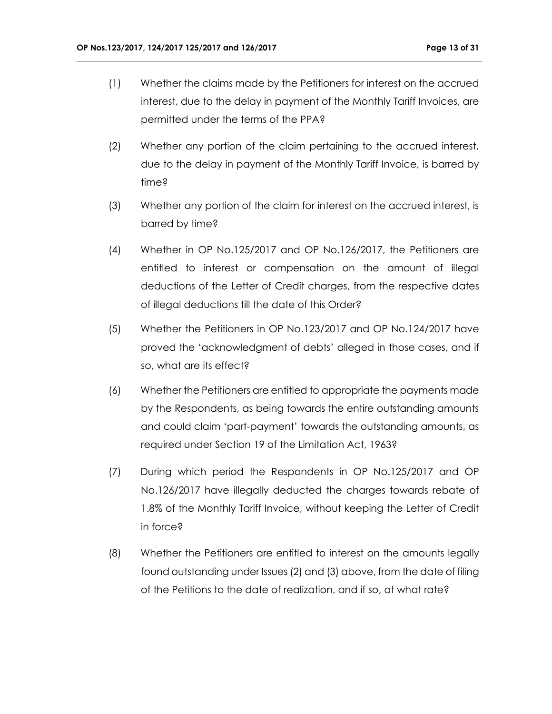(1) Whether the claims made by the Petitioners for interest on the accrued interest, due to the delay in payment of the Monthly Tariff Invoices, are permitted under the terms of the PPA?

- (2) Whether any portion of the claim pertaining to the accrued interest, due to the delay in payment of the Monthly Tariff Invoice, is barred by time?
- (3) Whether any portion of the claim for interest on the accrued interest, is barred by time?
- (4) Whether in OP No.125/2017 and OP No.126/2017, the Petitioners are entitled to interest or compensation on the amount of illegal deductions of the Letter of Credit charges, from the respective dates of illegal deductions till the date of this Order?
- (5) Whether the Petitioners in OP No.123/2017 and OP No.124/2017 have proved the 'acknowledgment of debts' alleged in those cases, and if so, what are its effect?
- (6) Whether the Petitioners are entitled to appropriate the payments made by the Respondents, as being towards the entire outstanding amounts and could claim 'part-payment' towards the outstanding amounts, as required under Section 19 of the Limitation Act, 1963?
- (7) During which period the Respondents in OP No.125/2017 and OP No.126/2017 have illegally deducted the charges towards rebate of 1.8% of the Monthly Tariff Invoice, without keeping the Letter of Credit in force?
- (8) Whether the Petitioners are entitled to interest on the amounts legally found outstanding under Issues (2) and (3) above, from the date of filing of the Petitions to the date of realization, and if so, at what rate?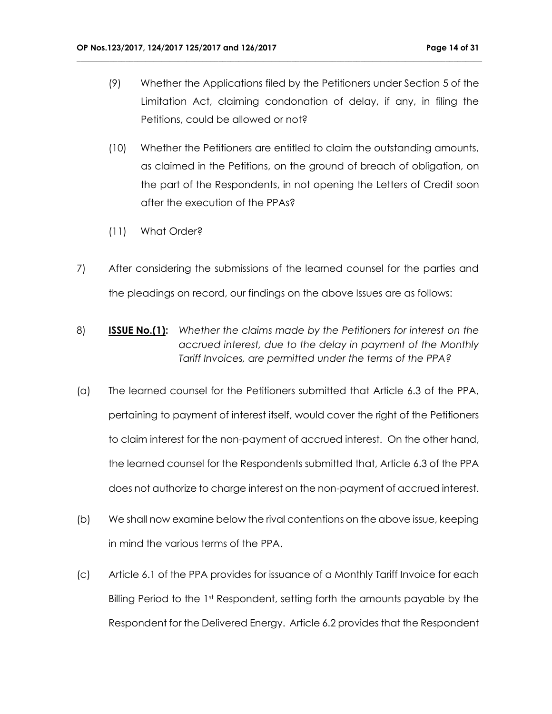(9) Whether the Applications filed by the Petitioners under Section 5 of the Limitation Act, claiming condonation of delay, if any, in filing the Petitions, could be allowed or not?

- (10) Whether the Petitioners are entitled to claim the outstanding amounts, as claimed in the Petitions, on the ground of breach of obligation, on the part of the Respondents, in not opening the Letters of Credit soon after the execution of the PPAs?
- (11) What Order?
- 7) After considering the submissions of the learned counsel for the parties and the pleadings on record, our findings on the above Issues are as follows:
- 8) **ISSUE No.(1):** *Whether the claims made by the Petitioners for interest on the accrued interest, due to the delay in payment of the Monthly Tariff Invoices, are permitted under the terms of the PPA?*
- (a) The learned counsel for the Petitioners submitted that Article 6.3 of the PPA, pertaining to payment of interest itself, would cover the right of the Petitioners to claim interest for the non-payment of accrued interest. On the other hand, the learned counsel for the Respondents submitted that, Article 6.3 of the PPA does not authorize to charge interest on the non-payment of accrued interest.
- (b) We shall now examine below the rival contentions on the above issue, keeping in mind the various terms of the PPA.
- (c) Article 6.1 of the PPA provides for issuance of a Monthly Tariff Invoice for each Billing Period to the 1<sup>st</sup> Respondent, setting forth the amounts payable by the Respondent for the Delivered Energy. Article 6.2 provides that the Respondent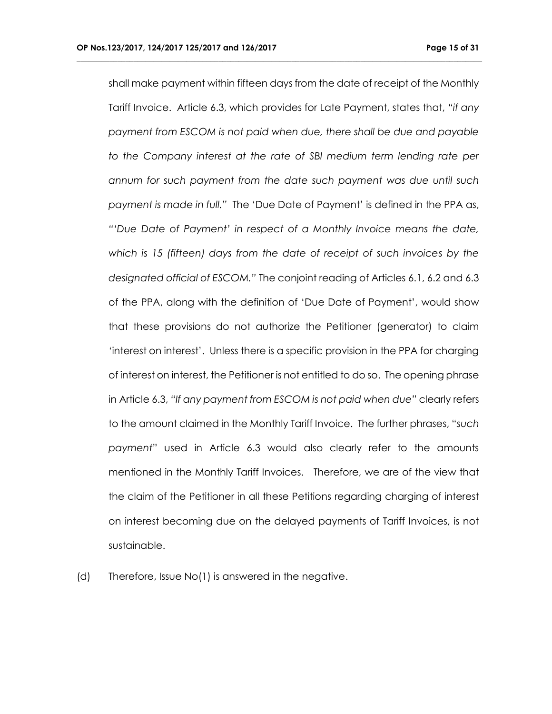shall make payment within fifteen days from the date of receipt of the Monthly Tariff Invoice. Article 6.3, which provides for Late Payment, states that, *"if any payment from ESCOM is not paid when due, there shall be due and payable to the Company interest at the rate of SBI medium term lending rate per annum for such payment from the date such payment was due until such payment is made in full."* The 'Due Date of Payment' is defined in the PPA as, *"'Due Date of Payment' in respect of a Monthly Invoice means the date, which is 15 (fifteen) days from the date of receipt of such invoices by the designated official of ESCOM."* The conjoint reading of Articles 6.1, 6.2 and 6.3 of the PPA, along with the definition of 'Due Date of Payment', would show that these provisions do not authorize the Petitioner (generator) to claim 'interest on interest'. Unless there is a specific provision in the PPA for charging of interest on interest, the Petitioner is not entitled to do so. The opening phrase in Article 6.3, *"If any payment from ESCOM is not paid when due"* clearly refers to the amount claimed in the Monthly Tariff Invoice. The further phrases, "*such payment*" used in Article 6.3 would also clearly refer to the amounts mentioned in the Monthly Tariff Invoices. Therefore, we are of the view that the claim of the Petitioner in all these Petitions regarding charging of interest on interest becoming due on the delayed payments of Tariff Invoices, is not sustainable.

**\_\_\_\_\_\_\_\_\_\_\_\_\_\_\_\_\_\_\_\_\_\_\_\_\_\_\_\_\_\_\_\_\_\_\_\_\_\_\_\_\_\_\_\_\_\_\_\_\_\_\_\_\_\_\_\_\_\_\_\_\_\_\_\_\_\_\_\_\_\_\_\_\_\_\_\_\_\_\_\_\_\_\_\_\_\_\_\_\_\_\_\_\_\_\_\_\_\_\_\_**

(d) Therefore, Issue No(1) is answered in the negative.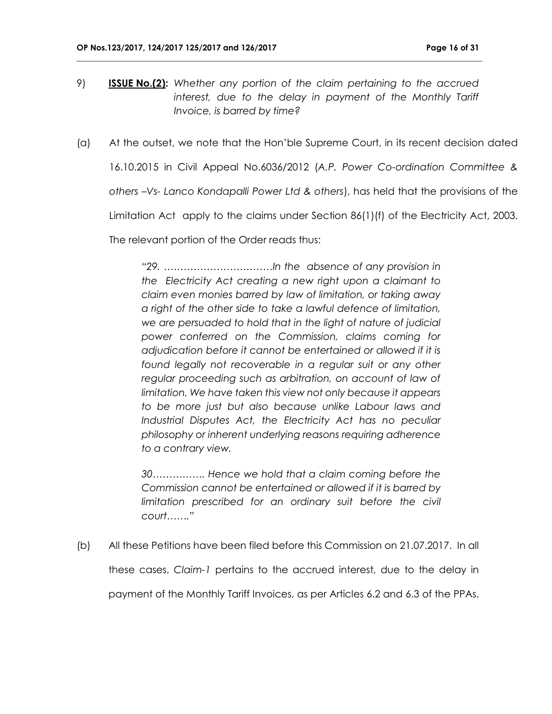9) **ISSUE No.(2):** *Whether any portion of the claim pertaining to the accrued interest, due to the delay in payment of the Monthly Tariff Invoice, is barred by time?*

**\_\_\_\_\_\_\_\_\_\_\_\_\_\_\_\_\_\_\_\_\_\_\_\_\_\_\_\_\_\_\_\_\_\_\_\_\_\_\_\_\_\_\_\_\_\_\_\_\_\_\_\_\_\_\_\_\_\_\_\_\_\_\_\_\_\_\_\_\_\_\_\_\_\_\_\_\_\_\_\_\_\_\_\_\_\_\_\_\_\_\_\_\_\_\_\_\_\_\_\_**

(a) At the outset, we note that the Hon'ble Supreme Court, in its recent decision dated 16.10.2015 in Civil Appeal No.6036/2012 (*A.P. Power Co-ordination Committee & others –Vs- Lanco Kondapalli Power Ltd & others*), has held that the provisions of the Limitation Act apply to the claims under Section 86(1)(f) of the Electricity Act, 2003. The relevant portion of the Order reads thus:

> *"29. ……………………………In the absence of any provision in the Electricity Act creating a new right upon a claimant to claim even monies barred by law of limitation, or taking away a right of the other side to take a lawful defence of limitation, we are persuaded to hold that in the light of nature of judicial power conferred on the Commission, claims coming for adjudication before it cannot be entertained or allowed if it is*  found legally not recoverable in a regular suit or any other *regular proceeding such as arbitration, on account of law of limitation. We have taken this view not only because it appears to be more just but also because unlike Labour laws and*  Industrial Disputes Act, the Electricity Act has no peculiar *philosophy or inherent underlying reasons requiring adherence to a contrary view.*

> *30……………. Hence we hold that a claim coming before the Commission cannot be entertained or allowed if it is barred by*  limitation prescribed for an ordinary suit before the civil *court……."*

(b) All these Petitions have been filed before this Commission on 21.07.2017. In all these cases, *Claim-1* pertains to the accrued interest, due to the delay in payment of the Monthly Tariff Invoices, as per Articles 6.2 and 6.3 of the PPAs.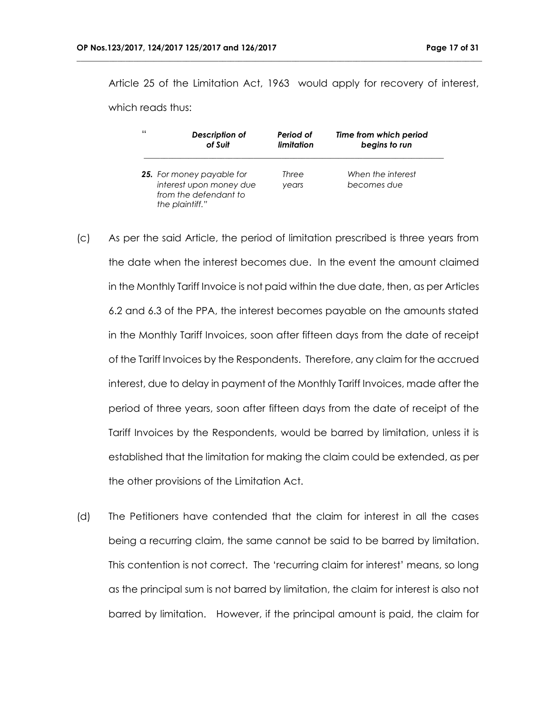Article 25 of the Limitation Act, 1963 would apply for recovery of interest,

**\_\_\_\_\_\_\_\_\_\_\_\_\_\_\_\_\_\_\_\_\_\_\_\_\_\_\_\_\_\_\_\_\_\_\_\_\_\_\_\_\_\_\_\_\_\_\_\_\_\_\_\_\_\_\_\_\_\_\_\_\_\_\_\_\_\_\_\_\_\_\_\_\_\_\_\_\_\_\_\_\_\_\_\_\_\_\_\_\_\_\_\_\_\_\_\_\_\_\_\_**

which reads thus:

| -6.6 | Description of                                                                                          | Period of      | Time from which period           |
|------|---------------------------------------------------------------------------------------------------------|----------------|----------------------------------|
|      | of Suit                                                                                                 | limitation     | begins to run                    |
|      | <b>25.</b> For money payable for<br>interest upon money due<br>from the defendant to<br>the plaintiff." | Three<br>vears | When the interest<br>becomes due |

- (c) As per the said Article, the period of limitation prescribed is three years from the date when the interest becomes due. In the event the amount claimed in the Monthly Tariff Invoice is not paid within the due date, then, as per Articles 6.2 and 6.3 of the PPA, the interest becomes payable on the amounts stated in the Monthly Tariff Invoices, soon after fifteen days from the date of receipt of the Tariff Invoices by the Respondents. Therefore, any claim for the accrued interest, due to delay in payment of the Monthly Tariff Invoices, made after the period of three years, soon after fifteen days from the date of receipt of the Tariff Invoices by the Respondents, would be barred by limitation, unless it is established that the limitation for making the claim could be extended, as per the other provisions of the Limitation Act.
- (d) The Petitioners have contended that the claim for interest in all the cases being a recurring claim, the same cannot be said to be barred by limitation. This contention is not correct. The 'recurring claim for interest' means, so long as the principal sum is not barred by limitation, the claim for interest is also not barred by limitation. However, if the principal amount is paid, the claim for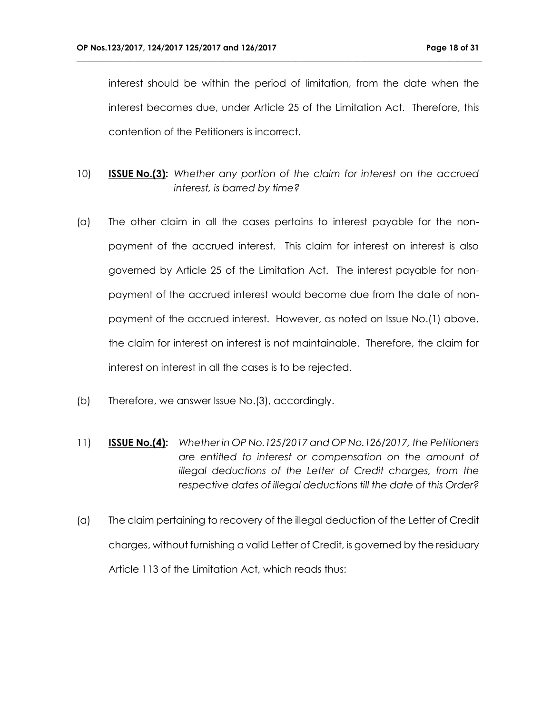interest should be within the period of limitation, from the date when the interest becomes due, under Article 25 of the Limitation Act. Therefore, this contention of the Petitioners is incorrect.

- 10) **ISSUE No.(3):** *Whether any portion of the claim for interest on the accrued interest, is barred by time?*
- (a) The other claim in all the cases pertains to interest payable for the nonpayment of the accrued interest. This claim for interest on interest is also governed by Article 25 of the Limitation Act. The interest payable for nonpayment of the accrued interest would become due from the date of nonpayment of the accrued interest. However, as noted on Issue No.(1) above, the claim for interest on interest is not maintainable. Therefore, the claim for interest on interest in all the cases is to be rejected.
- (b) Therefore, we answer Issue No.(3), accordingly.
- 11) **ISSUE No.(4):** *Whether in OP No.125/2017 and OP No.126/2017, the Petitioners are entitled to interest or compensation on the amount of illegal deductions of the Letter of Credit charges, from the respective dates of illegal deductions till the date of this Order?*
- (a) The claim pertaining to recovery of the illegal deduction of the Letter of Credit charges, without furnishing a valid Letter of Credit, is governed by the residuary Article 113 of the Limitation Act, which reads thus: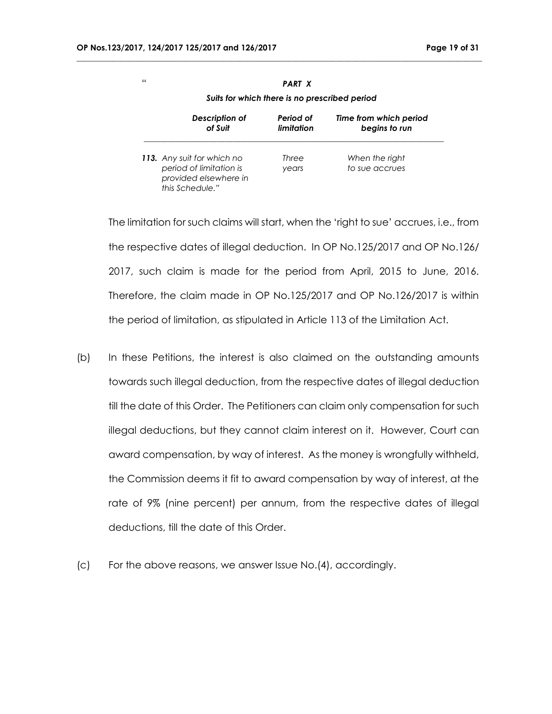| .<br>Suits for which there is no prescribed period |            |                        |  |
|----------------------------------------------------|------------|------------------------|--|
| Description of                                     | Period of  | Time from which period |  |
| of Suit                                            | limitation | begins to run          |  |
| 113. Any suit for which no                         | Three      | When the right         |  |
| period of limitation is                            | years      | to sue accrues         |  |
| provided elsewhere in<br>this Schedule."           |            |                        |  |

**\_\_\_\_\_\_\_\_\_\_\_\_\_\_\_\_\_\_\_\_\_\_\_\_\_\_\_\_\_\_\_\_\_\_\_\_\_\_\_\_\_\_\_\_\_\_\_\_\_\_\_\_\_\_\_\_\_\_\_\_\_\_\_\_\_\_\_\_\_\_\_\_\_\_\_\_\_\_\_\_\_\_\_\_\_\_\_\_\_\_\_\_\_\_\_\_\_\_\_\_**

The limitation for such claims will start, when the 'right to sue' accrues, i.e., from the respective dates of illegal deduction. In OP No.125/2017 and OP No.126/ 2017, such claim is made for the period from April, 2015 to June, 2016. Therefore, the claim made in OP No.125/2017 and OP No.126/2017 is within the period of limitation, as stipulated in Article 113 of the Limitation Act.

- (b) In these Petitions, the interest is also claimed on the outstanding amounts towards such illegal deduction, from the respective dates of illegal deduction till the date of this Order. The Petitioners can claim only compensation for such illegal deductions, but they cannot claim interest on it. However, Court can award compensation, by way of interest. As the money is wrongfully withheld, the Commission deems it fit to award compensation by way of interest, at the rate of 9% (nine percent) per annum, from the respective dates of illegal deductions, till the date of this Order.
- (c) For the above reasons, we answer Issue No.(4), accordingly.

" *PART X*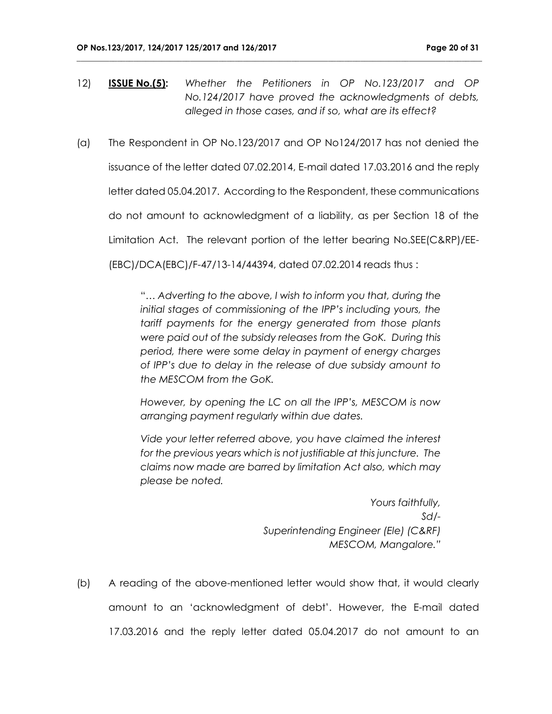12) **ISSUE No.(5):** *Whether the Petitioners in OP No.123/2017 and OP No.124/2017 have proved the acknowledgments of debts, alleged in those cases, and if so, what are its effect?*

**\_\_\_\_\_\_\_\_\_\_\_\_\_\_\_\_\_\_\_\_\_\_\_\_\_\_\_\_\_\_\_\_\_\_\_\_\_\_\_\_\_\_\_\_\_\_\_\_\_\_\_\_\_\_\_\_\_\_\_\_\_\_\_\_\_\_\_\_\_\_\_\_\_\_\_\_\_\_\_\_\_\_\_\_\_\_\_\_\_\_\_\_\_\_\_\_\_\_\_\_**

(a) The Respondent in OP No.123/2017 and OP No124/2017 has not denied the issuance of the letter dated 07.02.2014, E-mail dated 17.03.2016 and the reply letter dated 05.04.2017. According to the Respondent, these communications do not amount to acknowledgment of a liability, as per Section 18 of the Limitation Act. The relevant portion of the letter bearing No.SEE(C&RP)/EE- (EBC)/DCA(EBC)/F-47/13-14/44394, dated 07.02.2014 reads thus :

> "*… Adverting to the above, I wish to inform you that, during the initial stages of commissioning of the IPP's including yours, the tariff payments for the energy generated from those plants were paid out of the subsidy releases from the GoK. During this period, there were some delay in payment of energy charges of IPP's due to delay in the release of due subsidy amount to the MESCOM from the GoK.*

> *However, by opening the LC on all the IPP's, MESCOM is now arranging payment regularly within due dates.*

> *Vide your letter referred above, you have claimed the interest for the previous years which is not justifiable at this juncture. The claims now made are barred by limitation Act also, which may please be noted.*

> > *Yours faithfully, Sd/- Superintending Engineer (Ele) (C&RF) MESCOM, Mangalore."*

(b) A reading of the above-mentioned letter would show that, it would clearly amount to an 'acknowledgment of debt'. However, the E-mail dated 17.03.2016 and the reply letter dated 05.04.2017 do not amount to an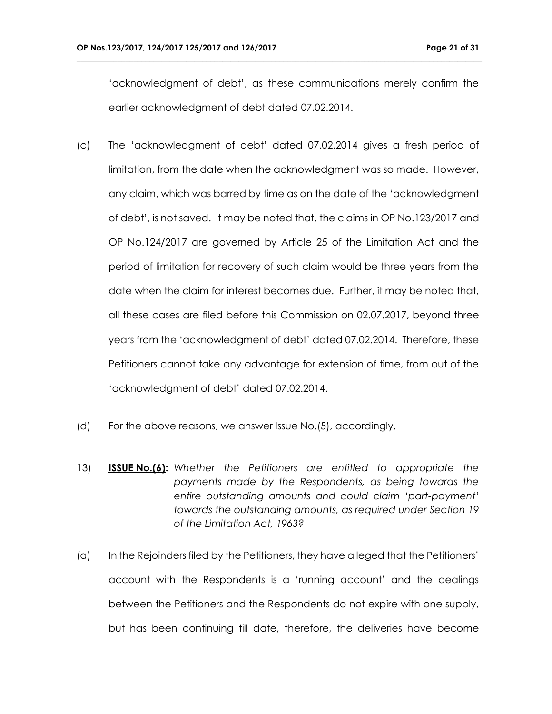'acknowledgment of debt', as these communications merely confirm the earlier acknowledgment of debt dated 07.02.2014.

- (c) The 'acknowledgment of debt' dated 07.02.2014 gives a fresh period of limitation, from the date when the acknowledgment was so made. However, any claim, which was barred by time as on the date of the 'acknowledgment of debt', is not saved. It may be noted that, the claims in OP No.123/2017 and OP No.124/2017 are governed by Article 25 of the Limitation Act and the period of limitation for recovery of such claim would be three years from the date when the claim for interest becomes due. Further, it may be noted that, all these cases are filed before this Commission on 02.07.2017, beyond three years from the 'acknowledgment of debt' dated 07.02.2014. Therefore, these Petitioners cannot take any advantage for extension of time, from out of the 'acknowledgment of debt' dated 07.02.2014.
- (d) For the above reasons, we answer Issue No.(5), accordingly.
- 13) **ISSUE No.(6):** *Whether the Petitioners are entitled to appropriate the payments made by the Respondents, as being towards the entire outstanding amounts and could claim 'part-payment' towards the outstanding amounts, as required under Section 19 of the Limitation Act, 1963?*
- (a) In the Rejoinders filed by the Petitioners, they have alleged that the Petitioners' account with the Respondents is a 'running account' and the dealings between the Petitioners and the Respondents do not expire with one supply, but has been continuing till date, therefore, the deliveries have become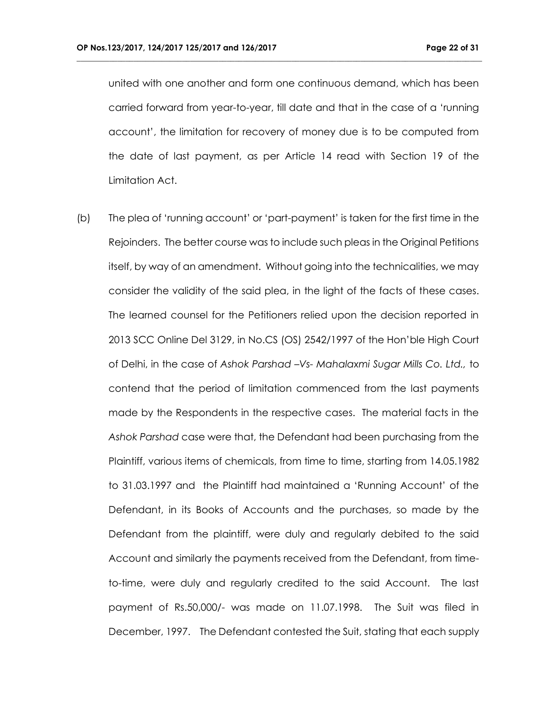united with one another and form one continuous demand, which has been carried forward from year-to-year, till date and that in the case of a 'running account', the limitation for recovery of money due is to be computed from the date of last payment, as per Article 14 read with Section 19 of the Limitation Act.

**\_\_\_\_\_\_\_\_\_\_\_\_\_\_\_\_\_\_\_\_\_\_\_\_\_\_\_\_\_\_\_\_\_\_\_\_\_\_\_\_\_\_\_\_\_\_\_\_\_\_\_\_\_\_\_\_\_\_\_\_\_\_\_\_\_\_\_\_\_\_\_\_\_\_\_\_\_\_\_\_\_\_\_\_\_\_\_\_\_\_\_\_\_\_\_\_\_\_\_\_**

(b) The plea of 'running account' or 'part-payment' is taken for the first time in the Rejoinders. The better course was to include such pleas in the Original Petitions itself, by way of an amendment. Without going into the technicalities, we may consider the validity of the said plea, in the light of the facts of these cases. The learned counsel for the Petitioners relied upon the decision reported in 2013 SCC Online Del 3129, in No.CS (OS) 2542/1997 of the Hon'ble High Court of Delhi, in the case of *Ashok Parshad –Vs- Mahalaxmi Sugar Mills Co. Ltd.,* to contend that the period of limitation commenced from the last payments made by the Respondents in the respective cases. The material facts in the *Ashok Parshad* case were that, the Defendant had been purchasing from the Plaintiff, various items of chemicals, from time to time, starting from 14.05.1982 to 31.03.1997 and the Plaintiff had maintained a 'Running Account' of the Defendant, in its Books of Accounts and the purchases, so made by the Defendant from the plaintiff, were duly and regularly debited to the said Account and similarly the payments received from the Defendant, from timeto-time, were duly and regularly credited to the said Account. The last payment of Rs.50,000/- was made on 11.07.1998. The Suit was filed in December, 1997. The Defendant contested the Suit, stating that each supply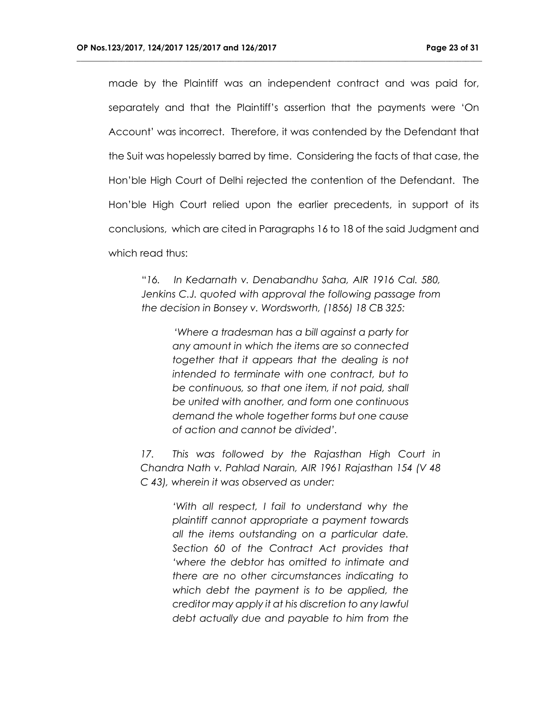made by the Plaintiff was an independent contract and was paid for, separately and that the Plaintiff's assertion that the payments were 'On Account' was incorrect. Therefore, it was contended by the Defendant that the Suit was hopelessly barred by time. Considering the facts of that case, the Hon'ble High Court of Delhi rejected the contention of the Defendant. The Hon'ble High Court relied upon the earlier precedents, in support of its conclusions, which are cited in Paragraphs 16 to 18 of the said Judgment and which read thus:

**\_\_\_\_\_\_\_\_\_\_\_\_\_\_\_\_\_\_\_\_\_\_\_\_\_\_\_\_\_\_\_\_\_\_\_\_\_\_\_\_\_\_\_\_\_\_\_\_\_\_\_\_\_\_\_\_\_\_\_\_\_\_\_\_\_\_\_\_\_\_\_\_\_\_\_\_\_\_\_\_\_\_\_\_\_\_\_\_\_\_\_\_\_\_\_\_\_\_\_\_**

"*16. In Kedarnath v. Denabandhu Saha, AIR 1916 Cal. 580, Jenkins C.J. quoted with approval the following passage from the decision in Bonsey v. Wordsworth, (1856) 18 CB 325:*

> *'Where a tradesman has a bill against a party for any amount in which the items are so connected together that it appears that the dealing is not intended to terminate with one contract, but to be continuous, so that one item, if not paid, shall be united with another, and form one continuous demand the whole together forms but one cause of action and cannot be divided'.*

*17. This was followed by the Rajasthan High Court in Chandra Nath v. Pahlad Narain, AIR 1961 Rajasthan 154 (V 48 C 43), wherein it was observed as under:*

> *'With all respect, I fail to understand why the plaintiff cannot appropriate a payment towards all the items outstanding on a particular date. Section 60 of the Contract Act provides that 'where the debtor has omitted to intimate and there are no other circumstances indicating to which debt the payment is to be applied, the creditor may apply it at his discretion to any lawful debt actually due and payable to him from the*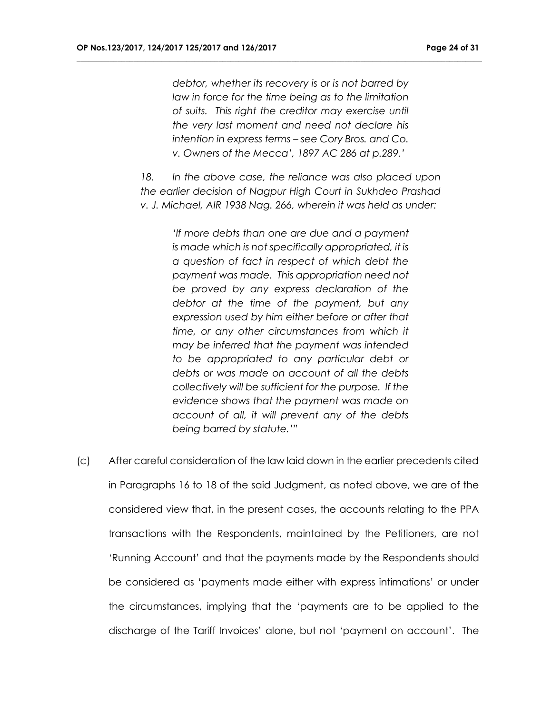*debtor, whether its recovery is or is not barred by law in force for the time being as to the limitation of suits. This right the creditor may exercise until the very last moment and need not declare his intention in express terms – see Cory Bros. and Co. v. Owners of the Mecca', 1897 AC 286 at p.289.'*

**\_\_\_\_\_\_\_\_\_\_\_\_\_\_\_\_\_\_\_\_\_\_\_\_\_\_\_\_\_\_\_\_\_\_\_\_\_\_\_\_\_\_\_\_\_\_\_\_\_\_\_\_\_\_\_\_\_\_\_\_\_\_\_\_\_\_\_\_\_\_\_\_\_\_\_\_\_\_\_\_\_\_\_\_\_\_\_\_\_\_\_\_\_\_\_\_\_\_\_\_**

*18. In the above case, the reliance was also placed upon the earlier decision of Nagpur High Court in Sukhdeo Prashad v. J. Michael, AIR 1938 Nag. 266, wherein it was held as under:*

> *'If more debts than one are due and a payment is made which is not specifically appropriated, it is a question of fact in respect of which debt the payment was made. This appropriation need not be proved by any express declaration of the debtor at the time of the payment, but any expression used by him either before or after that time, or any other circumstances from which it may be inferred that the payment was intended to be appropriated to any particular debt or debts or was made on account of all the debts collectively will be sufficient for the purpose. If the evidence shows that the payment was made on account of all, it will prevent any of the debts being barred by statute.'"*

(c) After careful consideration of the law laid down in the earlier precedents cited in Paragraphs 16 to 18 of the said Judgment, as noted above, we are of the considered view that, in the present cases, the accounts relating to the PPA transactions with the Respondents, maintained by the Petitioners, are not 'Running Account' and that the payments made by the Respondents should be considered as 'payments made either with express intimations' or under the circumstances, implying that the 'payments are to be applied to the discharge of the Tariff Invoices' alone, but not 'payment on account'. The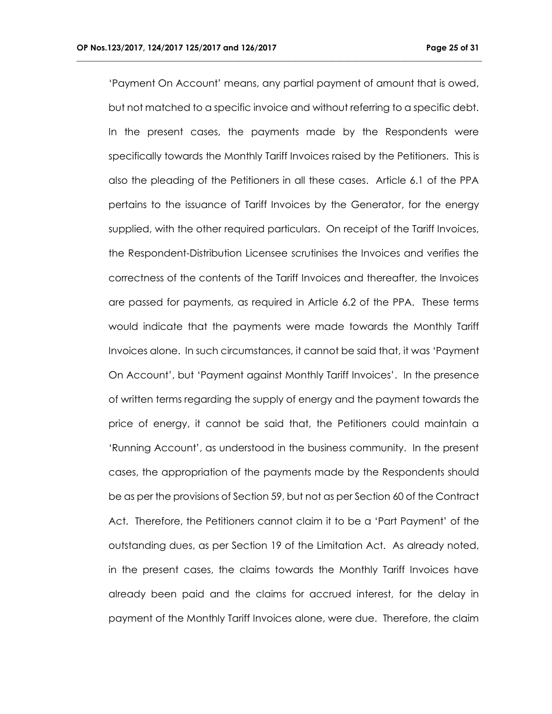'Payment On Account' means, any partial payment of amount that is owed, but not matched to a specific invoice and without referring to a specific debt. In the present cases, the payments made by the Respondents were specifically towards the Monthly Tariff Invoices raised by the Petitioners. This is also the pleading of the Petitioners in all these cases. Article 6.1 of the PPA pertains to the issuance of Tariff Invoices by the Generator, for the energy supplied, with the other required particulars. On receipt of the Tariff Invoices, the Respondent-Distribution Licensee scrutinises the Invoices and verifies the correctness of the contents of the Tariff Invoices and thereafter, the Invoices are passed for payments, as required in Article 6.2 of the PPA. These terms would indicate that the payments were made towards the Monthly Tariff Invoices alone. In such circumstances, it cannot be said that, it was 'Payment On Account', but 'Payment against Monthly Tariff Invoices'. In the presence of written terms regarding the supply of energy and the payment towards the price of energy, it cannot be said that, the Petitioners could maintain a 'Running Account', as understood in the business community. In the present cases, the appropriation of the payments made by the Respondents should be as per the provisions of Section 59, but not as per Section 60 of the Contract Act. Therefore, the Petitioners cannot claim it to be a 'Part Payment' of the outstanding dues, as per Section 19 of the Limitation Act. As already noted, in the present cases, the claims towards the Monthly Tariff Invoices have already been paid and the claims for accrued interest, for the delay in payment of the Monthly Tariff Invoices alone, were due. Therefore, the claim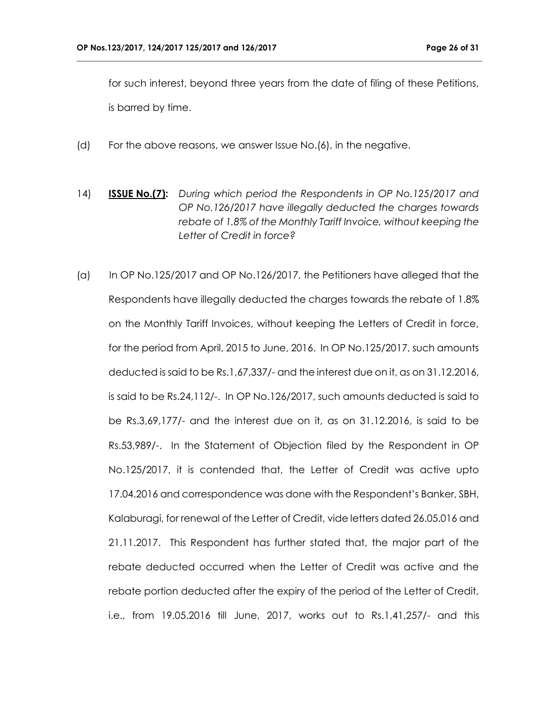for such interest, beyond three years from the date of filing of these Petitions, is barred by time.

- (d) For the above reasons, we answer Issue No.(6), in the negative.
- 14) **ISSUE No.(7):** *During which period the Respondents in OP No.125/2017 and OP No.126/2017 have illegally deducted the charges towards rebate of 1.8% of the Monthly Tariff Invoice, without keeping the Letter of Credit in force?*
- (a) In OP No.125/2017 and OP No.126/2017, the Petitioners have alleged that the Respondents have illegally deducted the charges towards the rebate of 1.8% on the Monthly Tariff Invoices, without keeping the Letters of Credit in force, for the period from April, 2015 to June, 2016. In OP No.125/2017, such amounts deducted is said to be Rs.1,67,337/- and the interest due on it, as on 31.12.2016, is said to be Rs.24,112/-. In OP No.126/2017, such amounts deducted is said to be Rs.3,69,177/- and the interest due on it, as on 31.12.2016, is said to be Rs.53,989/-. In the Statement of Objection filed by the Respondent in OP No.125/2017, it is contended that, the Letter of Credit was active upto 17.04.2016 and correspondence was done with the Respondent's Banker, SBH, Kalaburagi, for renewal of the Letter of Credit, vide letters dated 26.05.016 and 21.11.2017. This Respondent has further stated that, the major part of the rebate deducted occurred when the Letter of Credit was active and the rebate portion deducted after the expiry of the period of the Letter of Credit, i.e., from 19.05.2016 till June, 2017, works out to Rs.1,41,257/- and this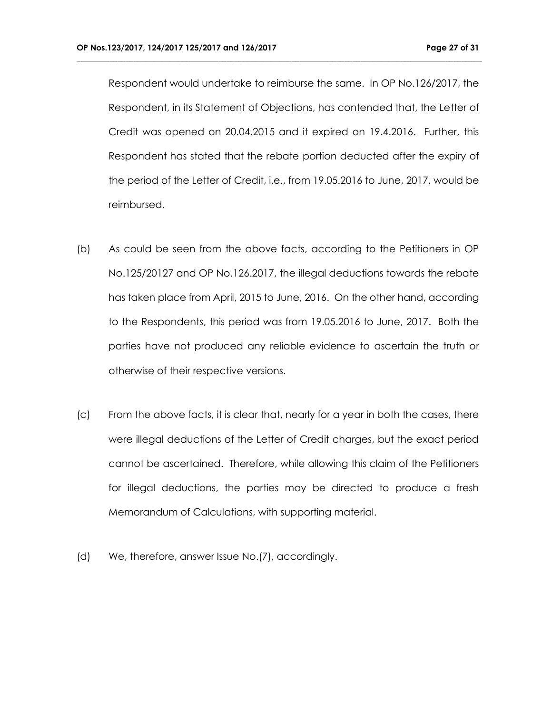Respondent would undertake to reimburse the same. In OP No.126/2017, the Respondent, in its Statement of Objections, has contended that, the Letter of Credit was opened on 20.04.2015 and it expired on 19.4.2016. Further, this Respondent has stated that the rebate portion deducted after the expiry of the period of the Letter of Credit, i.e., from 19.05.2016 to June, 2017, would be reimbursed.

- (b) As could be seen from the above facts, according to the Petitioners in OP No.125/20127 and OP No.126.2017, the illegal deductions towards the rebate has taken place from April, 2015 to June, 2016. On the other hand, according to the Respondents, this period was from 19.05.2016 to June, 2017. Both the parties have not produced any reliable evidence to ascertain the truth or otherwise of their respective versions.
- (c) From the above facts, it is clear that, nearly for a year in both the cases, there were illegal deductions of the Letter of Credit charges, but the exact period cannot be ascertained. Therefore, while allowing this claim of the Petitioners for illegal deductions, the parties may be directed to produce a fresh Memorandum of Calculations, with supporting material.
- (d) We, therefore, answer Issue No.(7), accordingly.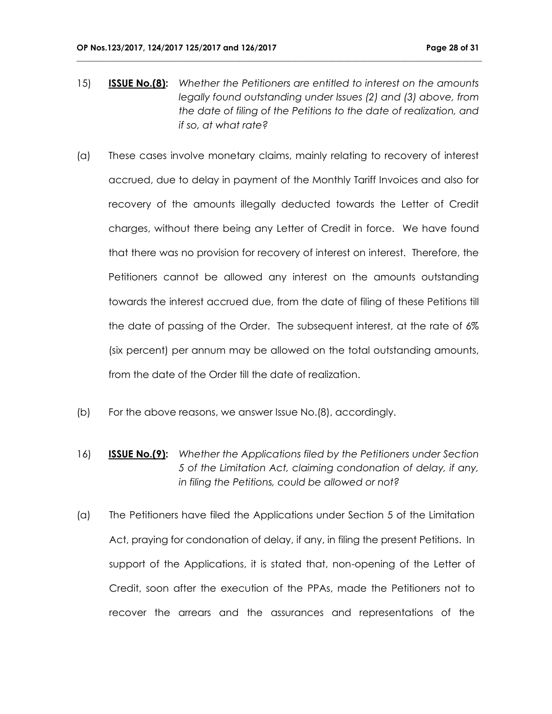15) **ISSUE No.(8):** *Whether the Petitioners are entitled to interest on the amounts legally found outstanding under Issues (2) and (3) above, from the date of filing of the Petitions to the date of realization, and if so, at what rate?*

- (a) These cases involve monetary claims, mainly relating to recovery of interest accrued, due to delay in payment of the Monthly Tariff Invoices and also for recovery of the amounts illegally deducted towards the Letter of Credit charges, without there being any Letter of Credit in force. We have found that there was no provision for recovery of interest on interest. Therefore, the Petitioners cannot be allowed any interest on the amounts outstanding towards the interest accrued due, from the date of filing of these Petitions till the date of passing of the Order. The subsequent interest, at the rate of 6% (six percent) per annum may be allowed on the total outstanding amounts, from the date of the Order till the date of realization.
- (b) For the above reasons, we answer Issue No.(8), accordingly.
- 16) **ISSUE No.(9):** *Whether the Applications filed by the Petitioners under Section 5 of the Limitation Act, claiming condonation of delay, if any, in filing the Petitions, could be allowed or not?*
- (a) The Petitioners have filed the Applications under Section 5 of the Limitation Act, praying for condonation of delay, if any, in filing the present Petitions. In support of the Applications, it is stated that, non-opening of the Letter of Credit, soon after the execution of the PPAs, made the Petitioners not to recover the arrears and the assurances and representations of the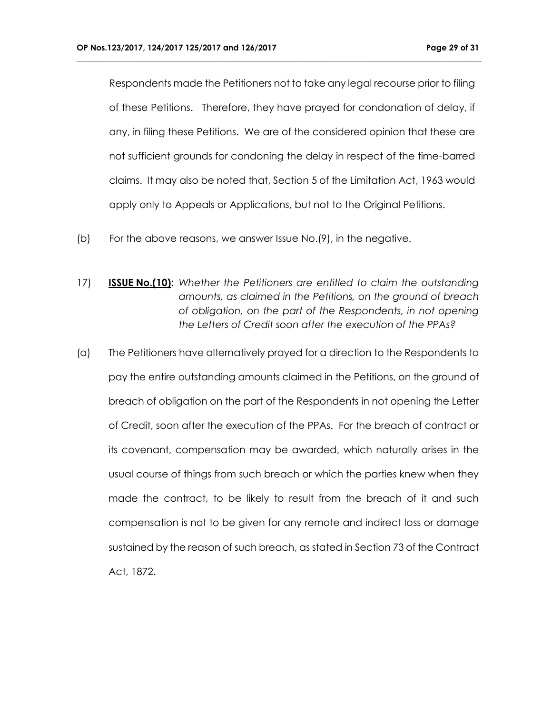Respondents made the Petitioners not to take any legal recourse prior to filing of these Petitions. Therefore, they have prayed for condonation of delay, if any, in filing these Petitions. We are of the considered opinion that these are not sufficient grounds for condoning the delay in respect of the time-barred claims. It may also be noted that, Section 5 of the Limitation Act, 1963 would apply only to Appeals or Applications, but not to the Original Petitions.

- (b) For the above reasons, we answer Issue No.(9), in the negative.
- 17) **ISSUE No.(10):** *Whether the Petitioners are entitled to claim the outstanding amounts, as claimed in the Petitions, on the ground of breach of obligation, on the part of the Respondents, in not opening the Letters of Credit soon after the execution of the PPAs?*
- (a) The Petitioners have alternatively prayed for a direction to the Respondents to pay the entire outstanding amounts claimed in the Petitions, on the ground of breach of obligation on the part of the Respondents in not opening the Letter of Credit, soon after the execution of the PPAs. For the breach of contract or its covenant, compensation may be awarded, which naturally arises in the usual course of things from such breach or which the parties knew when they made the contract, to be likely to result from the breach of it and such compensation is not to be given for any remote and indirect loss or damage sustained by the reason of such breach, as stated in Section 73 of the Contract Act, 1872.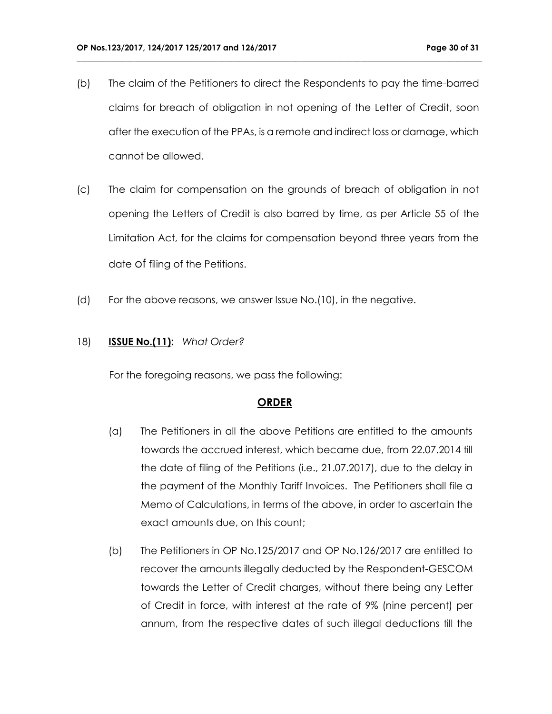(b) The claim of the Petitioners to direct the Respondents to pay the time-barred claims for breach of obligation in not opening of the Letter of Credit, soon after the execution of the PPAs, is a remote and indirect loss or damage, which cannot be allowed.

**\_\_\_\_\_\_\_\_\_\_\_\_\_\_\_\_\_\_\_\_\_\_\_\_\_\_\_\_\_\_\_\_\_\_\_\_\_\_\_\_\_\_\_\_\_\_\_\_\_\_\_\_\_\_\_\_\_\_\_\_\_\_\_\_\_\_\_\_\_\_\_\_\_\_\_\_\_\_\_\_\_\_\_\_\_\_\_\_\_\_\_\_\_\_\_\_\_\_\_\_**

- (c) The claim for compensation on the grounds of breach of obligation in not opening the Letters of Credit is also barred by time, as per Article 55 of the Limitation Act, for the claims for compensation beyond three years from the date of filing of the Petitions.
- (d) For the above reasons, we answer Issue No.(10), in the negative.

#### 18) **ISSUE No.(11):** *What Order?*

For the foregoing reasons, we pass the following:

#### **ORDER**

- (a) The Petitioners in all the above Petitions are entitled to the amounts towards the accrued interest, which became due, from 22.07.2014 till the date of filing of the Petitions (i.e., 21.07.2017), due to the delay in the payment of the Monthly Tariff Invoices. The Petitioners shall file a Memo of Calculations, in terms of the above, in order to ascertain the exact amounts due, on this count;
- (b) The Petitioners in OP No.125/2017 and OP No.126/2017 are entitled to recover the amounts illegally deducted by the Respondent-GESCOM towards the Letter of Credit charges, without there being any Letter of Credit in force, with interest at the rate of 9% (nine percent) per annum, from the respective dates of such illegal deductions till the